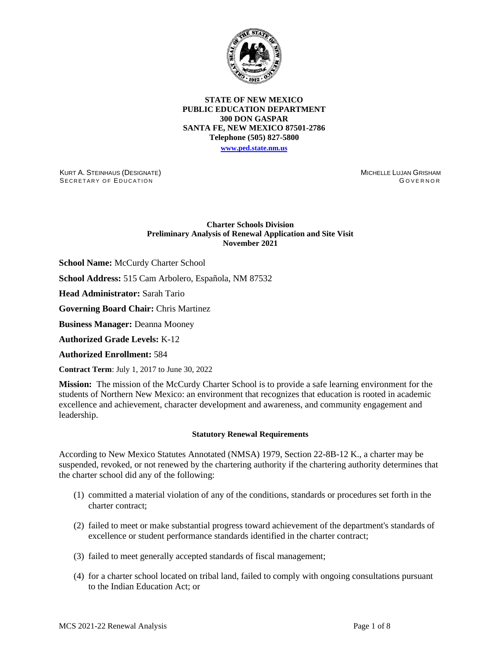

## **STATE OF NEW MEXICO PUBLIC EDUCATION DEPARTMENT 300 DON GASPAR SANTA FE, NEW MEXICO 87501-2786 Telephone (505) 827-5800 [www.ped.state.nm.us](http://webnew.ped.state.nm.us/)**

KURT A. STEINHAUS (DESIGNATE)

MICHELLE LUJAN GRISHAM GOVERNOR

## **Charter Schools Division Preliminary Analysis of Renewal Application and Site Visit November 2021**

**School Name:** McCurdy Charter School

**School Address:** 515 Cam Arbolero, Española, NM 87532

**Head Administrator:** Sarah Tario

SECRETARY OF EDUCATION

**Governing Board Chair:** Chris Martinez

**Business Manager:** Deanna Mooney

**Authorized Grade Levels:** K-12

**Authorized Enrollment:** 584

**Contract Term**: July 1, 2017 to June 30, 2022

**Mission:** The mission of the McCurdy Charter School is to provide a safe learning environment for the students of Northern New Mexico: an environment that recognizes that education is rooted in academic excellence and achievement, character development and awareness, and community engagement and leadership.

## **Statutory Renewal Requirements**

According to New Mexico Statutes Annotated (NMSA) 1979, Section 22-8B-12 K., a charter may be suspended, revoked, or not renewed by the chartering authority if the chartering authority determines that the charter school did any of the following:

- (1) committed a material violation of any of the conditions, standards or procedures set forth in the charter contract;
- (2) failed to meet or make substantial progress toward achievement of the department's standards of excellence or student performance standards identified in the charter contract;
- (3) failed to meet generally accepted standards of fiscal management;
- (4) for a charter school located on tribal land, failed to comply with ongoing consultations pursuant to the Indian Education Act; or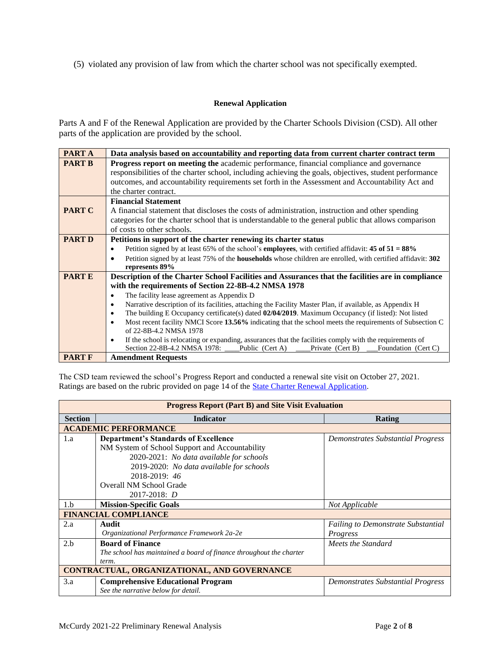(5) violated any provision of law from which the charter school was not specifically exempted.

# **Renewal Application**

Parts A and F of the Renewal Application are provided by the Charter Schools Division (CSD). All other parts of the application are provided by the school.

| PART A        | Data analysis based on accountability and reporting data from current charter contract term                                 |  |  |  |  |  |  |  |
|---------------|-----------------------------------------------------------------------------------------------------------------------------|--|--|--|--|--|--|--|
| <b>PART B</b> | <b>Progress report on meeting the academic performance, financial compliance and governance</b>                             |  |  |  |  |  |  |  |
|               | responsibilities of the charter school, including achieving the goals, objectives, student performance                      |  |  |  |  |  |  |  |
|               | outcomes, and accountability requirements set forth in the Assessment and Accountability Act and                            |  |  |  |  |  |  |  |
|               | the charter contract.                                                                                                       |  |  |  |  |  |  |  |
|               | <b>Financial Statement</b>                                                                                                  |  |  |  |  |  |  |  |
| <b>PART C</b> | A financial statement that discloses the costs of administration, instruction and other spending                            |  |  |  |  |  |  |  |
|               | categories for the charter school that is understandable to the general public that allows comparison                       |  |  |  |  |  |  |  |
|               | of costs to other schools.                                                                                                  |  |  |  |  |  |  |  |
| <b>PART D</b> | Petitions in support of the charter renewing its charter status                                                             |  |  |  |  |  |  |  |
|               | Petition signed by at least 65% of the school's <b>employees</b> , with certified affidavit: 45 of $51 = 88\%$<br>$\bullet$ |  |  |  |  |  |  |  |
|               | Petition signed by at least 75% of the <b>households</b> whose children are enrolled, with certified affidavit: 302         |  |  |  |  |  |  |  |
|               | represents 89%                                                                                                              |  |  |  |  |  |  |  |
| <b>PARTE</b>  | Description of the Charter School Facilities and Assurances that the facilities are in compliance                           |  |  |  |  |  |  |  |
|               | with the requirements of Section 22-8B-4.2 NMSA 1978                                                                        |  |  |  |  |  |  |  |
|               | The facility lease agreement as Appendix D<br>٠                                                                             |  |  |  |  |  |  |  |
|               | Narrative description of its facilities, attaching the Facility Master Plan, if available, as Appendix H<br>٠               |  |  |  |  |  |  |  |
|               | The building E Occupancy certificate(s) dated 02/04/2019. Maximum Occupancy (if listed): Not listed<br>$\bullet$            |  |  |  |  |  |  |  |
|               | Most recent facility NMCI Score 13.56% indicating that the school meets the requirements of Subsection C<br>$\bullet$       |  |  |  |  |  |  |  |
|               | of 22-8B-4.2 NMSA 1978                                                                                                      |  |  |  |  |  |  |  |
|               | If the school is relocating or expanding, assurances that the facilities comply with the requirements of<br>$\bullet$       |  |  |  |  |  |  |  |
|               | Section 22-8B-4.2 NMSA 1978:<br>Public (Cert A)<br>Private (Cert B)<br>Foundation (Cert C)                                  |  |  |  |  |  |  |  |
| <b>PART F</b> | <b>Amendment Requests</b>                                                                                                   |  |  |  |  |  |  |  |

The CSD team reviewed the school's Progress Report and conducted a renewal site visit on October 27, 2021. Ratings are based on the rubric provided on page 14 of the **State Charter Renewal Application**.

| <b>Progress Report (Part B) and Site Visit Evaluation</b> |                                                                     |                                           |  |  |  |
|-----------------------------------------------------------|---------------------------------------------------------------------|-------------------------------------------|--|--|--|
| <b>Section</b>                                            | <b>Indicator</b>                                                    | Rating                                    |  |  |  |
|                                                           | <b>ACADEMIC PERFORMANCE</b>                                         |                                           |  |  |  |
| 1.a                                                       | <b>Department's Standards of Excellence</b>                         | Demonstrates Substantial Progress         |  |  |  |
|                                                           | NM System of School Support and Accountability                      |                                           |  |  |  |
|                                                           | 2020-2021: No data available for schools                            |                                           |  |  |  |
|                                                           | 2019-2020: No data available for schools                            |                                           |  |  |  |
|                                                           | 2018-2019: 46                                                       |                                           |  |  |  |
|                                                           | Overall NM School Grade                                             |                                           |  |  |  |
|                                                           | $2017 - 2018$ : D                                                   |                                           |  |  |  |
| 1.b                                                       | <b>Mission-Specific Goals</b>                                       | Not Applicable                            |  |  |  |
| <b>FINANCIAL COMPLIANCE</b>                               |                                                                     |                                           |  |  |  |
| 2.a                                                       | Audit                                                               | <b>Failing to Demonstrate Substantial</b> |  |  |  |
|                                                           | Organizational Performance Framework 2a-2e                          | Progress                                  |  |  |  |
| 2.b                                                       | <b>Board of Finance</b>                                             | Meets the Standard                        |  |  |  |
|                                                           | The school has maintained a board of finance throughout the charter |                                           |  |  |  |
|                                                           | term.                                                               |                                           |  |  |  |
| CONTRACTUAL, ORGANIZATIONAL, AND GOVERNANCE               |                                                                     |                                           |  |  |  |
| 3.a                                                       | <b>Comprehensive Educational Program</b>                            | Demonstrates Substantial Progress         |  |  |  |
|                                                           | See the narrative below for detail.                                 |                                           |  |  |  |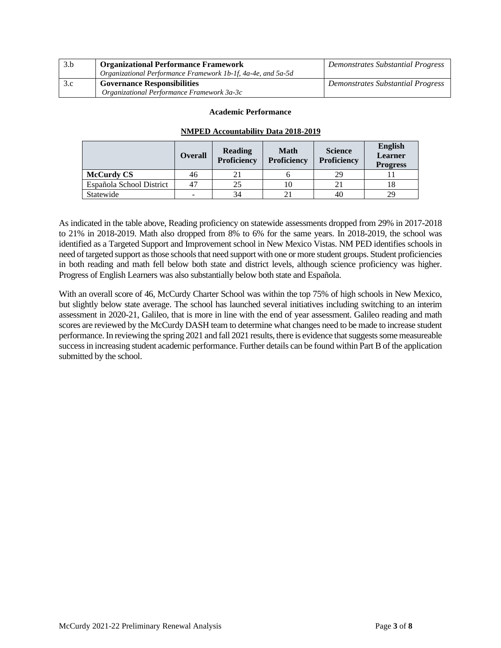| 3.b | <b>Organizational Performance Framework</b>                  | Demonstrates Substantial Progress |
|-----|--------------------------------------------------------------|-----------------------------------|
|     | Organizational Performance Framework 1b-1f, 4a-4e, and 5a-5d |                                   |
| 3.c | <b>Governance Responsibilities</b>                           | Demonstrates Substantial Progress |
|     | Organizational Performance Framework 3a-3c                   |                                   |

### **Academic Performance**

# **NMPED Accountability Data 2018-2019**

|                          | <b>Overall</b> | Reading<br><b>Proficiency</b> | <b>Math</b><br>Proficiency | <b>Science</b><br><b>Proficiency</b> | <b>English</b><br><b>Learner</b><br><b>Progress</b> |
|--------------------------|----------------|-------------------------------|----------------------------|--------------------------------------|-----------------------------------------------------|
| <b>McCurdy CS</b>        | 46             | 21                            |                            | 29                                   |                                                     |
| Española School District | 47             | 25                            | l O                        |                                      |                                                     |
| Statewide                | -              | 34                            |                            | 40                                   | 29                                                  |

As indicated in the table above, Reading proficiency on statewide assessments dropped from 29% in 2017-2018 to 21% in 2018-2019. Math also dropped from 8% to 6% for the same years. In 2018-2019, the school was identified as a Targeted Support and Improvement school in New Mexico Vistas. NM PED identifies schools in need of targeted support as those schools that need support with one or more student groups. Student proficiencies in both reading and math fell below both state and district levels, although science proficiency was higher. Progress of English Learners was also substantially below both state and Española.

With an overall score of 46, McCurdy Charter School was within the top 75% of high schools in New Mexico, but slightly below state average. The school has launched several initiatives including switching to an interim assessment in 2020-21, Galileo, that is more in line with the end of year assessment. Galileo reading and math scores are reviewed by the McCurdy DASH team to determine what changes need to be made to increase student performance. In reviewing the spring 2021 and fall 2021 results, there is evidence that suggests some measureable success in increasing student academic performance. Further details can be found within Part B of the application submitted by the school.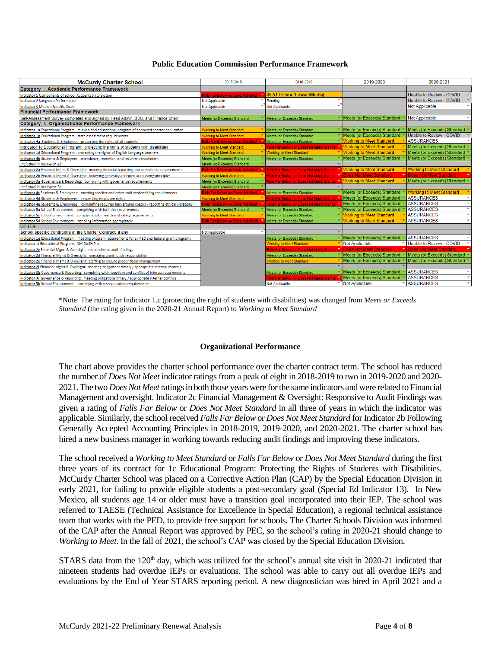### **Public Education Commission Performance Framework**

| <b>McCurdy Charter School</b>                                                                           | 2017-2018                                                       | 2018-2019                                       | 2019-2020                       | 2020-2021                         |
|---------------------------------------------------------------------------------------------------------|-----------------------------------------------------------------|-------------------------------------------------|---------------------------------|-----------------------------------|
| Category I. Academic Performance Framework                                                              |                                                                 |                                                 |                                 |                                   |
| Indicator 1 Components of School Accountability System                                                  | Falls Far Below (or Does Not Meet) 145.51 Points (Lower Middle) |                                                 |                                 | Unable to Review - COVID          |
| <b>Indicator 2 Subgroup Performance</b>                                                                 | <b>Not Applicable</b>                                           | Pending                                         |                                 | Unable to Review - COVID          |
| <b>Indicator 3 Mission Specific Goals</b>                                                               | <b>Not Applicable</b>                                           | Not Applicable                                  |                                 | <b>Not Applicable</b>             |
| <b>Financial Performance Framework</b>                                                                  |                                                                 |                                                 |                                 |                                   |
| Self-Assessment Survey completed and signed by Head Admin, SBO, and Finance Chair                       | Meets (or Exceeds) Standard                                     | Meets (or Exceeds) Standard                     | Meets (or Exceeds) Standard     | <b>Not Applicable</b>             |
| Category II. Organizational Performance Framework                                                       |                                                                 |                                                 |                                 |                                   |
| Indicator 1a Educational Program: mission and educational program of approved charter application       | <b>Norking to Meet Standard</b>                                 | Meets (or Exceeds) Standard                     | Meets (or Exceeds) Standard     | Meets (or Exceeds) Standard       |
| Indicator 1b Educational Program: state assessment requirements                                         | <b>Vorking to Meet Standard</b>                                 | Meets (or Exceeds) Standard                     | Meets (or Exceeds) Standard     | Unable to Review - COVID          |
| Indicator 4a Students & Employees: protecting the rights of all students                                | alls Far Below (or Does Not Meet)                               | Meets (or Exceeds) Standard                     | <b>Working to Meet Standard</b> | <b>ASSURANCES</b>                 |
| Indicator 1c Educational Program: protecting the rights of students with disabilities                   | <b>Vorking to Meet Standard</b>                                 | Falls Far Below (or Does Not Meet) Standar      | <b>Working to Meet Standard</b> | Meets (or Exceeds) Standard       |
| Indicator 1d Educational Program: protecting the rights of English Language Learners                    | <b>Vorking to Meet Standard</b>                                 | <b>Working to Meet Standard</b>                 | <b>Working to Meet Standard</b> | Meets (or Exceeds) Standard       |
| Indicator 4b Students & Employees: attendance, retention, and recurrent enrollment                      | Meets (or Exceeds) Standard                                     | Meets (or Exceeds) Standard                     | Meets (or Exceeds) Standard     | Meets (or Exceeds) Standard       |
| Included in Indicator 4b                                                                                | Meets (or Exceeds) Standard                                     |                                                 |                                 |                                   |
| Indicator 2a Financial Mgmt & Oversight: meeting financial reporting and compliance requirements        | alls Far Below (or Does Not Meet)                               | Falls Far Below (or Does Not Meet) Standar      | <b>Working to Meet Standard</b> | <b>Working to Meet Standard</b>   |
| Indicator 2b Financial Mgmt & Oversight: following generally accepted accounting principles             | <b>Vorking to Meet Standard</b>                                 | Falls Far Below (or Does Not Meet) Standar      | <b>Does Not Meet Standard</b>   | Does Not Meet Standard            |
| Indicator 3a Governance & Reporting: complying with governance requirements                             | Meets (or Exceeds) Standard                                     | Falls Far Below (or Does Not Meet) Standar      | <b>Working to Meet Standard</b> | Meets (or Exceeds) Standard       |
| Included in Indicator 3c                                                                                | Meets (or Exceeds) Standard                                     |                                                 |                                 |                                   |
| Indicator 4c Students & Employees: meeting teacher and other staff credentialing requirements           | Falls Far Below (or Does Not Meet)                              | Meets (or Exceeds) Standard                     | Meets (or Exceeds) Standard     | <b>Working to Meet Standard</b>   |
| Indicator 4d Students & Employees: respecting employee rights                                           | <b>Working to Meet Standard</b>                                 | Falls Far Below (or Does Not Meet) Standar      | Meets (or Exceeds) Standard     | <b>ASSURANCES</b><br>$\mathbf{v}$ |
| Indicator 4e Students & Employees: completing required background checks / reporting ethical violations | Falls Far Below (or Does Not Meet)                              | Falls Far Below (or Does Not Meet) Standar      | Meets (or Exceeds) Standard     | <b>ASSURANCES</b><br>$\checkmark$ |
| Indicator 5a School Environment: complying with facilities requirements                                 | Meets (or Exceeds) Standard                                     | Meets (or Exceeds) Standard                     | Meets (or Exceeds) Standard     | <b>ASSURANCES</b><br>$\mathbf{v}$ |
| Indicator 5c School Environment: complying with health and safety requirements                          | <b>Norking to Meet Standard</b>                                 | Meets (or Exceeds) Standard                     | <b>Working to Meet Standard</b> | <b>ASSURANCES</b><br>$\checkmark$ |
| Indicator 5d School Environment: handling information appropiately                                      | Falls Far Below (or Does Not Meet)                              | Meets (or Exceeds) Standard                     | <b>Working to Meet Standard</b> | <b>ASSURANCES</b><br>$\checkmark$ |
| <b>OTHER</b>                                                                                            |                                                                 |                                                 |                                 |                                   |
| School specific conditions in the Charter Contract, if any                                              | <b>Not Applicable</b>                                           |                                                 |                                 |                                   |
| Indicator 1e Educational Program: meeting program requirements for all PED and federal grant programs   |                                                                 | Meets (or Exceeds) Standard                     | Meets (or Exceeds) Standard     | <b>ASSURANCES</b>                 |
| Indicator 1f Educational Program: NM DASH Plan                                                          |                                                                 | <b>Working to Meet Standard</b>                 | <b>Not Applicable</b>           | Unable to Review - COVID          |
| Indicator 2c Financial Mgmt & Oversight: responsive to audit findings                                   |                                                                 | Falls Far Below (or Does Not Meet) Standar<br>٠ | <b>Does Not Meet Standard</b>   | Does Not Meet Standard            |
| Indicator 2d Financial Mgmt & Oversight: managing grant funds responsibility                            |                                                                 | Meets (or Exceeds) Standard                     | Meets (or Exceeds) Standard     | Meets (or Exceeds) Standard       |
| Indicator 2e Financial Mgmt & Oversight: staffing to ensure proper fiscal management                    |                                                                 | <b>Working to Meet Standard</b>                 | Meets (or Exceeds) Standard     | Meets (or Exceeds) Standard       |
| Indicator 2f Financial Mgmt & Oversight: meeting obligations timely / appropriate internal controls     |                                                                 |                                                 |                                 |                                   |
| Indicator 3b Governance & Reporting: complying with nepotism and conflict of interest requirements      |                                                                 | Meets (or Exceeds) Standard                     | Meets (or Exceeds) Standard     | <b>ASSURANCES</b><br>$\mathbf{v}$ |
| Indicator 3c Governance & Reporting: meeting obligations timely / appropriate internal controls         |                                                                 | Falls Far Below (or Does Not Meet) Standar      | Meets (or Exceeds) Standard     | <b>ASSURANCES</b><br>$\checkmark$ |
| Indicator 5b School Environment: complying with transportation requirements                             |                                                                 | Not Applicable                                  | V Not Applicable                | <b>ASSURANCES</b><br>$\mathbf{v}$ |

\*Note: The rating for Indicator 1.c (protecting the right of students with disabilities) was changed from *Meets or Exceeds Standard* (the rating given in the 2020-21 Annual Report) to *Working to Meet Standard*

#### **Organizational Performance**

The chart above provides the charter school performance over the charter contract term. The school has reduced the number of *Does Not Meet* indicator ratings from a peak of eight in 2018-2019 to two in 2019-2020 and 2020- 2021. The two *Does Not Meet*ratings in both those years were for the same indicators and were related to Financial Management and oversight. Indicator 2c Financial Management & Oversight: Responsive to Audit Findings was given a rating of *Falls Far Below* or *Does Not Meet Standard* in all three of years in which the indicator was applicable. Similarly, the school received *Falls Far Below* or *Does Not Meet Standard* for Indicator 2b Following Generally Accepted Accounting Principles in 2018-2019, 2019-2020, and 2020-2021. The charter school has hired a new business manager in working towards reducing audit findings and improving these indicators.

The school received a *Working to Meet Standard* or *Falls Far Below* or *Does Not Meet Standard* during the first three years of its contract for 1c Educational Program: Protecting the Rights of Students with Disabilities. McCurdy Charter School was placed on a Corrective Action Plan (CAP) by the Special Education Division in early 2021, for failing to provide eligible students a post-secondary goal (Special Ed Indicator 13). In New Mexico, all students age 14 or older must have a transition goal incorporated into their IEP. The school was referred to TAESE (Technical Assistance for Excellence in Special Education), a regional technical assistance team that works with the PED, to provide free support for schools. The Charter Schools Division was informed of the CAP after the Annual Report was approved by PEC, so the school's rating in 2020-21 should change to *Working to Meet*. In the fall of 2021, the school's CAP was closed by the Special Education Division.

STARS data from the  $120<sup>th</sup>$  day, which was utilized for the school's annual site visit in 2020-21 indicated that nineteen students had overdue IEPs or evaluations. The school was able to carry out all overdue IEPs and evaluations by the End of Year STARS reporting period. A new diagnostician was hired in April 2021 and a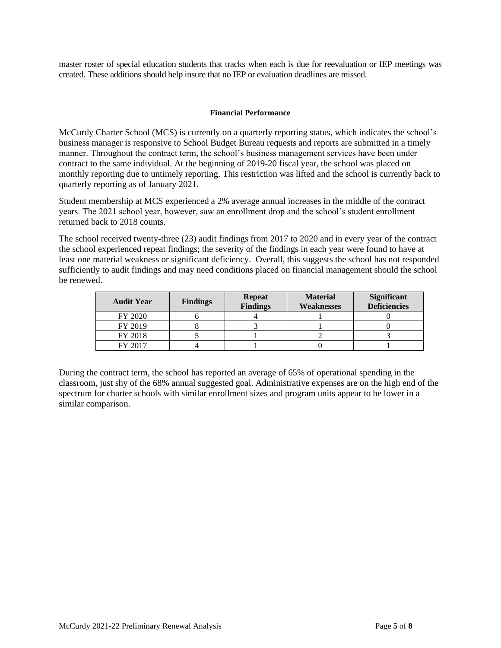master roster of special education students that tracks when each is due for reevaluation or IEP meetings was created. These additions should help insure that no IEP or evaluation deadlines are missed.

## **Financial Performance**

McCurdy Charter School (MCS) is currently on a quarterly reporting status, which indicates the school's business manager is responsive to School Budget Bureau requests and reports are submitted in a timely manner. Throughout the contract term, the school's business management services have been under contract to the same individual. At the beginning of 2019-20 fiscal year, the school was placed on monthly reporting due to untimely reporting. This restriction was lifted and the school is currently back to quarterly reporting as of January 2021.

Student membership at MCS experienced a 2% average annual increases in the middle of the contract years. The 2021 school year, however, saw an enrollment drop and the school's student enrollment returned back to 2018 counts.

The school received twenty-three (23) audit findings from 2017 to 2020 and in every year of the contract the school experienced repeat findings; the severity of the findings in each year were found to have at least one material weakness or significant deficiency. Overall, this suggests the school has not responded sufficiently to audit findings and may need conditions placed on financial management should the school be renewed.

| <b>Audit Year</b> | <b>Findings</b> | <b>Repeat</b><br><b>Findings</b> | <b>Material</b><br>Weaknesses | <b>Significant</b><br><b>Deficiencies</b> |
|-------------------|-----------------|----------------------------------|-------------------------------|-------------------------------------------|
| FY 2020           |                 |                                  |                               |                                           |
| FY 2019           |                 |                                  |                               |                                           |
| FY 2018           |                 |                                  |                               |                                           |
| FY 2017           |                 |                                  |                               |                                           |

During the contract term, the school has reported an average of 65% of operational spending in the classroom, just shy of the 68% annual suggested goal. Administrative expenses are on the high end of the spectrum for charter schools with similar enrollment sizes and program units appear to be lower in a similar comparison.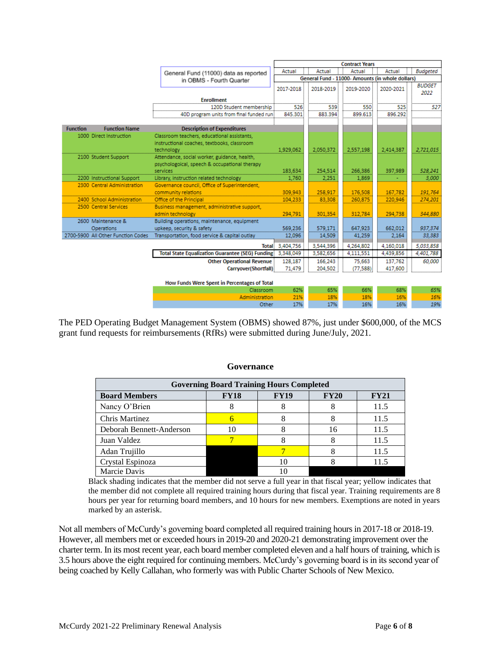|                 |                                    |                                                           | <b>Contract Years</b>                            |           |           |           |                       |
|-----------------|------------------------------------|-----------------------------------------------------------|--------------------------------------------------|-----------|-----------|-----------|-----------------------|
|                 |                                    | General Fund (11000) data as reported                     | Actual                                           | Actual    | Actual    | Actual    | <b>Budgeted</b>       |
|                 |                                    | in OBMS - Fourth Quarter                                  | General Fund - 11000- Amounts (in whole dollars) |           |           |           |                       |
|                 |                                    |                                                           | 2017-2018                                        | 2018-2019 | 2019-2020 | 2020-2021 | <b>BUDGET</b><br>2022 |
|                 |                                    | <b>Enrollment</b>                                         |                                                  |           |           |           |                       |
|                 |                                    | 120D Student membership                                   | 526                                              | 539       | 550       | 525       | 527                   |
|                 |                                    | 40D program units from final funded runi                  | 845.301                                          | 883.394   | 899.613   | 896.292   |                       |
|                 |                                    |                                                           |                                                  |           |           |           |                       |
| <b>Function</b> | <b>Function Name</b>               | <b>Description of Expenditures</b>                        |                                                  |           |           |           |                       |
|                 | 1000 Direct Instruction            | Classroom teachers, educational assistants,               |                                                  |           |           |           |                       |
|                 |                                    | instructional coaches, textbooks, classroom<br>technology | 1.929.062                                        | 2.050.372 | 2.557.198 | 2.414.387 | 2,721,015             |
|                 | 2100 Student Support               | Attendance, social worker, guidance, health,              |                                                  |           |           |           |                       |
|                 |                                    | psychologoical, speech & occupational therapy             |                                                  |           |           |           |                       |
|                 |                                    | services                                                  | 183,634                                          | 254,514   | 266,386   | 397,989   | 528,241               |
|                 | 2200 Instructional Support         | Library, instruction related technology                   | 1,760                                            | 2,251     | 1.869     |           | 3,000                 |
|                 | 2300 Central Administration        | Governance council, Office of Superintendent,             |                                                  |           |           |           |                       |
|                 |                                    | community relations                                       | 309,943                                          | 258,917   | 176,508   | 167.782   | 191.764               |
|                 | 2400 School Administration         | Office of the Principal                                   | 104,233                                          | 83,308    | 260,875   | 220,946   | 274,201               |
|                 | 2500 Central Services              | Business management, administrative support,              |                                                  |           |           |           |                       |
|                 |                                    | admin technology                                          | 294,791                                          | 301.354   | 312,784   | 294,738   | 344,880               |
|                 | 2600 Maintenance &                 | Building operations, maintenance, equipment               |                                                  |           |           |           |                       |
|                 | Operations                         | upkeep, security & safety                                 | 569,236                                          | 579,171   | 647.923   | 662.012   | 937,374               |
|                 | 2700-5900 All Other Function Codes | Transportation, food service & capital outlay             | 12,096                                           | 14,509    | 41,259    | 2,164     | 33,383                |
|                 |                                    |                                                           | Total: 3,404,756                                 | 3,544,396 | 4,264,802 | 4.160.018 | 5,033,858             |
|                 |                                    | <b>Total State Equalization Guarantee (SEG) Funding:</b>  | 3,348,049                                        | 3,582,656 | 4,111,551 | 4,439,856 | 4,401,788             |
|                 |                                    | <b>Other Operational Revenue</b>                          | 128,187                                          | 166,243   | 75,663    | 137,762   | 60,000                |
|                 |                                    | Carryover(Shortfall)                                      | 71,479                                           | 204,502   | (77,588)  | 417,600   |                       |
|                 |                                    |                                                           |                                                  |           |           |           |                       |
|                 |                                    | How Funds Were Spent in Percentages of Total              |                                                  |           |           |           |                       |
|                 |                                    | Classroom                                                 | 62%                                              | 65%       | 66%       | 68%       | 65%                   |
|                 |                                    | Administration                                            | 21%                                              | 18%       | 18%       | 16%       | 16%                   |
|                 |                                    | Other                                                     | 17%                                              | 17%       | 16%       | 16%       | 19%                   |

The PED Operating Budget Management System (OBMS) showed 87%, just under \$600,000, of the MCS grant fund requests for reimbursements (RfRs) were submitted during June/July, 2021.

| Governance |  |
|------------|--|
|------------|--|

| <b>Governing Board Training Hours Completed</b>                    |    |    |    |      |  |  |  |
|--------------------------------------------------------------------|----|----|----|------|--|--|--|
| <b>FY18</b><br><b>FY19</b><br>FY20<br>FY21<br><b>Board Members</b> |    |    |    |      |  |  |  |
| Nancy O'Brien                                                      |    |    |    | 11.5 |  |  |  |
| <b>Chris Martinez</b>                                              |    |    |    | 11.5 |  |  |  |
| Deborah Bennett-Anderson                                           | 10 |    | 16 | 11.5 |  |  |  |
| Juan Valdez                                                        |    |    |    | 11.5 |  |  |  |
| Adan Trujillo                                                      |    |    |    | 11.5 |  |  |  |
| Crystal Espinoza                                                   |    | 10 |    | 115  |  |  |  |
| Marcie Davis                                                       |    |    |    |      |  |  |  |

Black shading indicates that the member did not serve a full year in that fiscal year; yellow indicates that the member did not complete all required training hours during that fiscal year. Training requirements are 8 hours per year for returning board members, and 10 hours for new members. Exemptions are noted in years marked by an asterisk.

Not all members of McCurdy's governing board completed all required training hours in 2017-18 or 2018-19. However, all members met or exceeded hours in 2019-20 and 2020-21 demonstrating improvement over the charter term. In its most recent year, each board member completed eleven and a half hours of training, which is 3.5 hours above the eight required for continuing members. McCurdy's governing board is in its second year of being coached by Kelly Callahan, who formerly was with Public Charter Schools of New Mexico.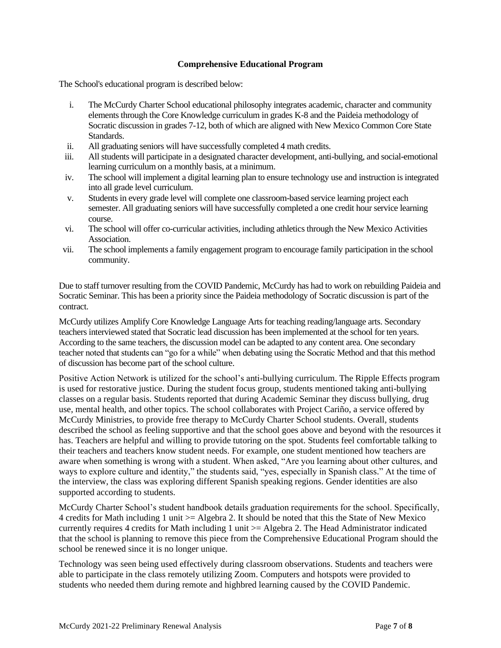# **Comprehensive Educational Program**

The School's educational program is described below:

- i. The McCurdy Charter School educational philosophy integrates academic, character and community elements through the Core Knowledge curriculum in grades K-8 and the Paideia methodology of Socratic discussion in grades 7-12, both of which are aligned with New Mexico Common Core State Standards.
- ii. All graduating seniors will have successfully completed 4 math credits.
- iii. All students will participate in a designated character development, anti-bullying, and social-emotional learning curriculum on a monthly basis, at a minimum.
- iv. The school will implement a digital learning plan to ensure technology use and instruction is integrated into all grade level curriculum.
- v. Students in every grade level will complete one classroom-based service learning project each semester. All graduating seniors will have successfully completed a one credit hour service learning course.
- vi. The school will offer co-curricular activities, including athletics through the New Mexico Activities Association.
- vii. The school implements a family engagement program to encourage family participation in the school community.

Due to staff turnover resulting from the COVID Pandemic, McCurdy has had to work on rebuilding Paideia and Socratic Seminar. This has been a priority since the Paideia methodology of Socratic discussion is part of the contract.

McCurdy utilizes Amplify Core Knowledge Language Arts for teaching reading/language arts. Secondary teachers interviewed stated that Socratic lead discussion has been implemented at the school for ten years. According to the same teachers, the discussion model can be adapted to any content area. One secondary teacher noted that students can "go for a while" when debating using the Socratic Method and that this method of discussion has become part of the school culture.

Positive Action Network is utilized for the school's anti-bullying curriculum. The Ripple Effects program is used for restorative justice. During the student focus group, students mentioned taking anti-bullying classes on a regular basis. Students reported that during Academic Seminar they discuss bullying, drug use, mental health, and other topics. The school collaborates with Project Cariño, a service offered by McCurdy Ministries, to provide free therapy to McCurdy Charter School students. Overall, students described the school as feeling supportive and that the school goes above and beyond with the resources it has. Teachers are helpful and willing to provide tutoring on the spot. Students feel comfortable talking to their teachers and teachers know student needs. For example, one student mentioned how teachers are aware when something is wrong with a student. When asked, "Are you learning about other cultures, and ways to explore culture and identity," the students said, "yes, especially in Spanish class." At the time of the interview, the class was exploring different Spanish speaking regions. Gender identities are also supported according to students.

McCurdy Charter School's student handbook details graduation requirements for the school. Specifically, 4 credits for Math including 1 unit >= Algebra 2. It should be noted that this the State of New Mexico currently requires 4 credits for Math including 1 unit >= Algebra 2. The Head Administrator indicated that the school is planning to remove this piece from the Comprehensive Educational Program should the school be renewed since it is no longer unique.

Technology was seen being used effectively during classroom observations. Students and teachers were able to participate in the class remotely utilizing Zoom. Computers and hotspots were provided to students who needed them during remote and highbred learning caused by the COVID Pandemic.